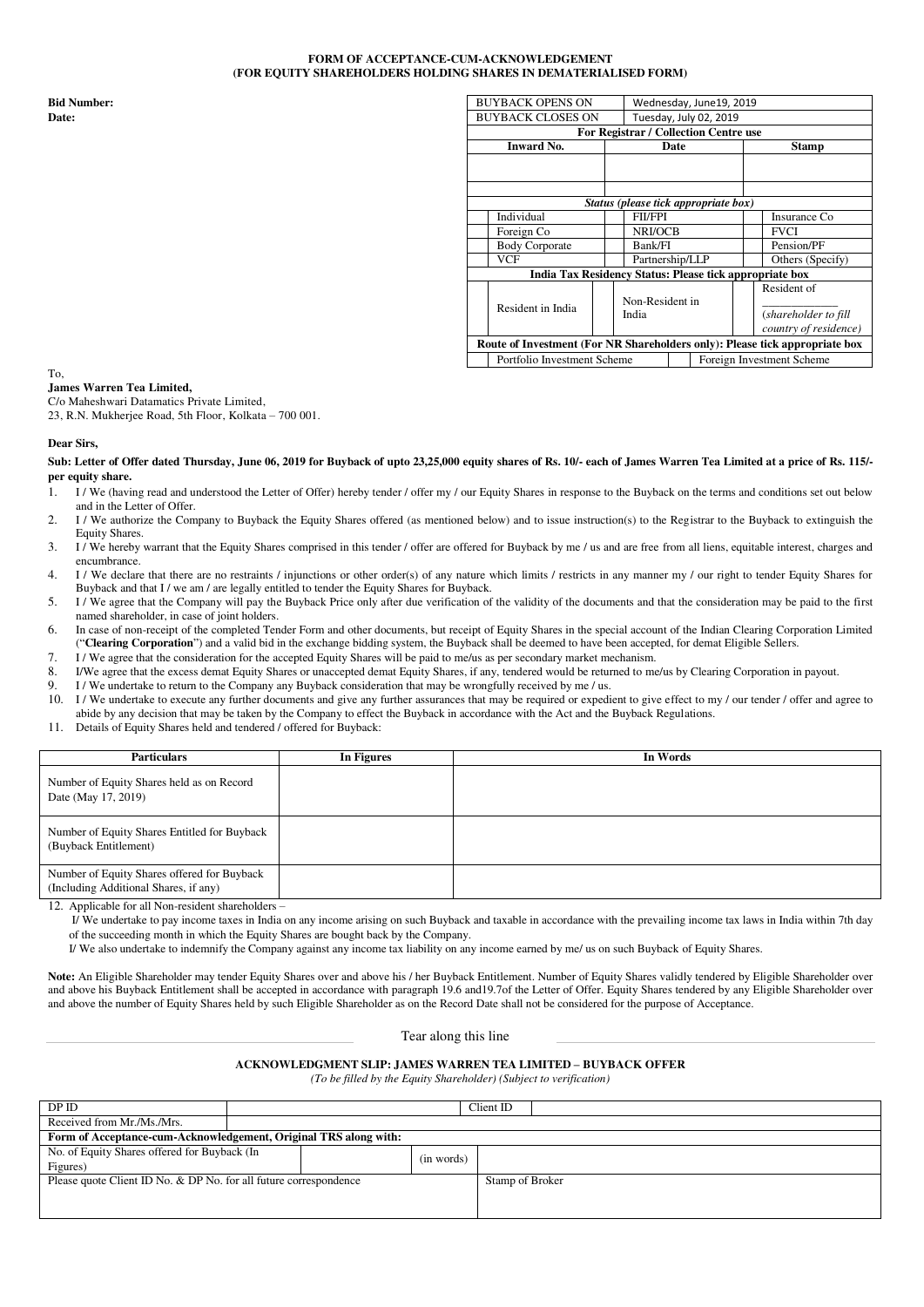# **FORM OF ACCEPTANCE-CUM-ACKNOWLEDGEMENT (FOR EQUITY SHAREHOLDERS HOLDING SHARES IN DEMATERIALISED FORM)**

|            | <b>BUYBACK OPENS ON</b>                                 |                                                                                                                         |                             |                                                                                                                                                                                                                                                                 |
|------------|---------------------------------------------------------|-------------------------------------------------------------------------------------------------------------------------|-----------------------------|-----------------------------------------------------------------------------------------------------------------------------------------------------------------------------------------------------------------------------------------------------------------|
|            |                                                         |                                                                                                                         |                             |                                                                                                                                                                                                                                                                 |
|            |                                                         |                                                                                                                         |                             |                                                                                                                                                                                                                                                                 |
|            |                                                         |                                                                                                                         |                             | <b>Stamp</b>                                                                                                                                                                                                                                                    |
|            |                                                         |                                                                                                                         |                             |                                                                                                                                                                                                                                                                 |
|            |                                                         |                                                                                                                         |                             |                                                                                                                                                                                                                                                                 |
|            |                                                         |                                                                                                                         |                             |                                                                                                                                                                                                                                                                 |
|            |                                                         |                                                                                                                         |                             |                                                                                                                                                                                                                                                                 |
|            |                                                         | <b>FII/FPI</b>                                                                                                          |                             | Insurance Co                                                                                                                                                                                                                                                    |
|            |                                                         | NRI/OCB                                                                                                                 |                             | <b>FVCI</b>                                                                                                                                                                                                                                                     |
|            |                                                         | Bank/FI                                                                                                                 |                             | Pension/PF                                                                                                                                                                                                                                                      |
| <b>VCF</b> |                                                         |                                                                                                                         |                             | Others (Specify)                                                                                                                                                                                                                                                |
|            | India Tax Residency Status: Please tick appropriate box |                                                                                                                         |                             |                                                                                                                                                                                                                                                                 |
|            |                                                         |                                                                                                                         |                             | Resident of                                                                                                                                                                                                                                                     |
|            |                                                         |                                                                                                                         |                             |                                                                                                                                                                                                                                                                 |
|            |                                                         | India                                                                                                                   |                             | (shareholder to fill                                                                                                                                                                                                                                            |
|            |                                                         |                                                                                                                         |                             | country of residence)                                                                                                                                                                                                                                           |
|            |                                                         |                                                                                                                         |                             |                                                                                                                                                                                                                                                                 |
|            |                                                         |                                                                                                                         |                             | Foreign Investment Scheme                                                                                                                                                                                                                                       |
|            |                                                         | <b>BUYBACK CLOSES ON</b><br><b>Inward No.</b><br>Individual<br>Foreign Co<br><b>Body Corporate</b><br>Resident in India | Portfolio Investment Scheme | Wednesday, June19, 2019<br>Tuesday, July 02, 2019<br>For Registrar / Collection Centre use<br>Date<br>Status (please tick appropriate box)<br>Partnership/LLP<br>Non-Resident in<br>Route of Investment (For NR Shareholders only): Please tick appropriate box |

#### To, **James Warren Tea Limited,**

C/o Maheshwari Datamatics Private Limited,

23, R.N. Mukherjee Road, 5th Floor, Kolkata – 700 001.

# **Dear Sirs,**

Sub: Letter of Offer dated Thursday, June 06, 2019 for Buyback of upto 23,25,000 equity shares of Rs. 10/- each of James Warren Tea Limited at a price of Rs. 115/**per equity share.** 

- 1. I / We (having read and understood the Letter of Offer) hereby tender / offer my / our Equity Shares in response to the Buyback on the terms and conditions set out below and in the Letter of Offer.
- 2. I / We authorize the Company to Buyback the Equity Shares offered (as mentioned below) and to issue instruction(s) to the Registrar to the Buyback to extinguish the Equity Shares.
- 3. I / We hereby warrant that the Equity Shares comprised in this tender / offer are offered for Buyback by me / us and are free from all liens, equitable interest, charges and encumbrance.
- 4. I / We declare that there are no restraints / injunctions or other order(s) of any nature which limits / restricts in any manner my / our right to tender Equity Shares for Buyback and that I / we am / are legally entitled to tender the Equity Shares for Buyback.
- 5. I / We agree that the Company will pay the Buyback Price only after due verification of the validity of the documents and that the consideration may be paid to the first named shareholder, in case of joint holders.
- 6. In case of non-receipt of the completed Tender Form and other documents, but receipt of Equity Shares in the special account of the Indian Clearing Corporation Limited ("**Clearing Corporation**") and a valid bid in the exchange bidding system, the Buyback shall be deemed to have been accepted, for demat Eligible Sellers.
- 7. I / We agree that the consideration for the accepted Equity Shares will be paid to me/us as per secondary market mechanism.
- 8. I/We agree that the excess demat Equity Shares or unaccepted demat Equity Shares, if any, tendered would be returned to me/us by Clearing Corporation in payout.<br>9. I/We undertake to return to the Company any Buyback con
- I / We undertake to return to the Company any Buyback consideration that may be wrongfully received by me / us. 10. I/We undertake to execute any further documents and give any further assurances that may be required or expedient to give effect to my / our tender / offer and agree to
- abide by any decision that may be taken by the Company to effect the Buyback in accordance with the Act and the Buyback Regulations.
- 11. Details of Equity Shares held and tendered / offered for Buyback:

| <b>Particulars</b>                                                                   | In Figures | In Words |
|--------------------------------------------------------------------------------------|------------|----------|
| Number of Equity Shares held as on Record<br>Date (May 17, 2019)                     |            |          |
| Number of Equity Shares Entitled for Buyback<br>(Buyback Entitlement)                |            |          |
| Number of Equity Shares offered for Buyback<br>(Including Additional Shares, if any) |            |          |
| Applicable for all Non-resident shareholders $=$<br>$12^{\circ}$                     |            |          |

tor all Non-resident shareho

 I/ We undertake to pay income taxes in India on any income arising on such Buyback and taxable in accordance with the prevailing income tax laws in India within 7th day of the succeeding month in which the Equity Shares are bought back by the Company.

I/ We also undertake to indemnify the Company against any income tax liability on any income earned by me/ us on such Buyback of Equity Shares.

**Note:** An Eligible Shareholder may tender Equity Shares over and above his / her Buyback Entitlement. Number of Equity Shares validly tendered by Eligible Shareholder over and above his Buyback Entitlement shall be accepted in accordance with paragraph 19.6 and19.7of the Letter of Offer. Equity Shares tendered by any Eligible Shareholder over and above the number of Equity Shares held by such Eligible Shareholder as on the Record Date shall not be considered for the purpose of Acceptance.

Tear along this line

## **ACKNOWLEDGMENT SLIP: JAMES WARREN TEA LIMITED – BUYBACK OFFER**

*(To be filled by the Equity Shareholder) (Subject to verification)* 

| DP ID                                                             | Client ID |            |                 |  |  |
|-------------------------------------------------------------------|-----------|------------|-----------------|--|--|
| Received from Mr./Ms./Mrs.                                        |           |            |                 |  |  |
| Form of Acceptance-cum-Acknowledgement, Original TRS along with:  |           |            |                 |  |  |
| No. of Equity Shares offered for Buyback (In                      |           | (in words) |                 |  |  |
| Figures)                                                          |           |            |                 |  |  |
| Please quote Client ID No. & DP No. for all future correspondence |           |            | Stamp of Broker |  |  |
|                                                                   |           |            |                 |  |  |
|                                                                   |           |            |                 |  |  |